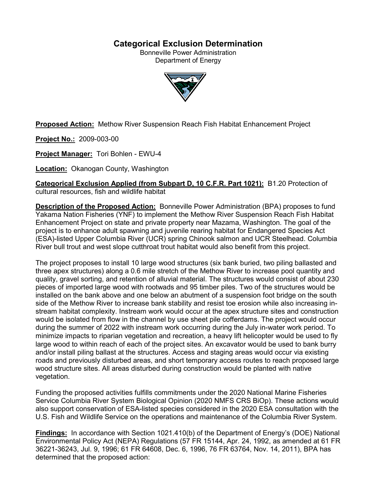# **Categorical Exclusion Determination**

Bonneville Power Administration Department of Energy



**Proposed Action:** Methow River Suspension Reach Fish Habitat Enhancement Project

**Project No.:** 2009-003-00

**Project Manager:** Tori Bohlen - EWU-4

**Location:** Okanogan County, Washington

**Categorical Exclusion Applied (from Subpart D, 10 C.F.R. Part 1021):** B1.20 Protection of cultural resources, fish and wildlife habitat

**Description of the Proposed Action:** Bonneville Power Administration (BPA) proposes to fund Yakama Nation Fisheries (YNF) to implement the Methow River Suspension Reach Fish Habitat Enhancement Project on state and private property near Mazama, Washington. The goal of the project is to enhance adult spawning and juvenile rearing habitat for Endangered Species Act (ESA)-listed Upper Columbia River (UCR) spring Chinook salmon and UCR Steelhead. Columbia River bull trout and west slope cutthroat trout habitat would also benefit from this project.

The project proposes to install 10 large wood structures (six bank buried, two piling ballasted and three apex structures) along a 0.6 mile stretch of the Methow River to increase pool quantity and quality, gravel sorting, and retention of alluvial material. The structures would consist of about 230 pieces of imported large wood with rootwads and 95 timber piles. Two of the structures would be installed on the bank above and one below an abutment of a suspension foot bridge on the south side of the Methow River to increase bank stability and resist toe erosion while also increasing instream habitat complexity. Instream work would occur at the apex structure sites and construction would be isolated from flow in the channel by use sheet pile cofferdams. The project would occur during the summer of 2022 with instream work occurring during the July in-water work period. To minimize impacts to riparian vegetation and recreation, a heavy lift helicopter would be used to fly large wood to within reach of each of the project sites. An excavator would be used to bank burry and/or install piling ballast at the structures. Access and staging areas would occur via existing roads and previously disturbed areas, and short temporary access routes to reach proposed large wood structure sites. All areas disturbed during construction would be planted with native vegetation.

Funding the proposed activities fulfills commitments under the 2020 National Marine Fisheries Service Columbia River System Biological Opinion (2020 NMFS CRS BiOp). These actions would also support conservation of ESA-listed species considered in the 2020 ESA consultation with the U.S. Fish and Wildlife Service on the operations and maintenance of the Columbia River System.

**Findings:** In accordance with Section 1021.410(b) of the Department of Energy's (DOE) National Environmental Policy Act (NEPA) Regulations (57 FR 15144, Apr. 24, 1992, as amended at 61 FR 36221-36243, Jul. 9, 1996; 61 FR 64608, Dec. 6, 1996, 76 FR 63764, Nov. 14, 2011), BPA has determined that the proposed action: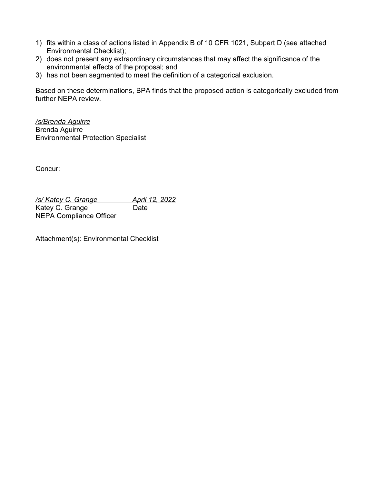- 1) fits within a class of actions listed in Appendix B of 10 CFR 1021, Subpart D (see attached Environmental Checklist);
- 2) does not present any extraordinary circumstances that may affect the significance of the environmental effects of the proposal; and
- 3) has not been segmented to meet the definition of a categorical exclusion.

Based on these determinations, BPA finds that the proposed action is categorically excluded from further NEPA review.

*/s/Brenda Aguirre* Brenda Aguirre Environmental Protection Specialist

Concur:

*/s/ Katey C. Grange April 12, 2022* Katey C. Grange Date NEPA Compliance Officer

Attachment(s): Environmental Checklist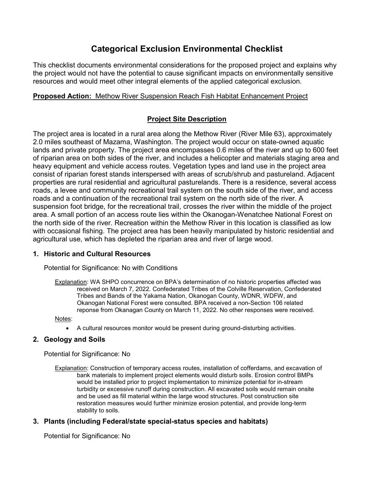# **Categorical Exclusion Environmental Checklist**

This checklist documents environmental considerations for the proposed project and explains why the project would not have the potential to cause significant impacts on environmentally sensitive resources and would meet other integral elements of the applied categorical exclusion.

# **Proposed Action:** Methow River Suspension Reach Fish Habitat Enhancement Project

# **Project Site Description**

The project area is located in a rural area along the Methow River (River Mile 63), approximately 2.0 miles southeast of Mazama, Washington. The project would occur on state-owned aquatic lands and private property. The project area encompasses 0.6 miles of the river and up to 600 feet of riparian area on both sides of the river, and includes a helicopter and materials staging area and heavy equipment and vehicle access routes. Vegetation types and land use in the project area consist of riparian forest stands interspersed with areas of scrub/shrub and pastureland. Adjacent properties are rural residential and agricultural pasturelands. There is a residence, several access roads, a levee and community recreational trail system on the south side of the river, and access roads and a continuation of the recreational trail system on the north side of the river. A suspension foot bridge, for the recreational trail, crosses the river within the middle of the project area. A small portion of an access route lies within the Okanogan-Wenatchee National Forest on the north side of the river. Recreation within the Methow River in this location is classified as low with occasional fishing. The project area has been heavily manipulated by historic residential and agricultural use, which has depleted the riparian area and river of large wood.

# **1. Historic and Cultural Resources**

Potential for Significance: No with Conditions

Explanation: WA SHPO concurrence on BPA's determination of no historic properties affected was received on March 7, 2022. Confederated Tribes of the Colville Reservation, Confederated Tribes and Bands of the Yakama Nation, Okanogan County, WDNR, WDFW, and Okanogan National Forest were consulted. BPA received a non-Section 106 related reponse from Okanagan County on March 11, 2022. No other responses were received.

Notes:

• A cultural resources monitor would be present during ground-disturbing activities.

# **2. Geology and Soils**

Potential for Significance: No

Explanation: Construction of temporary access routes, installation of cofferdams, and excavation of bank materials to implement project elements would disturb soils. Erosion control BMPs would be installed prior to project implementation to minimize potential for in-stream turbidity or excessive runoff during construction. All excavated soils would remain onsite and be used as fill material within the large wood structures. Post construction site restoration measures would further minimize erosion potential, and provide long-term stability to soils.

# **3. Plants (including Federal/state special-status species and habitats)**

Potential for Significance: No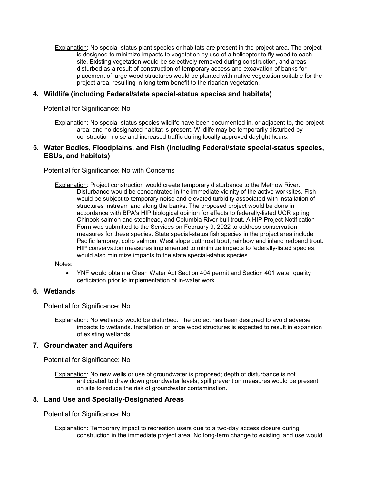Explanation: No special-status plant species or habitats are present in the project area. The project is designed to minimize impacts to vegetation by use of a helicopter to fly wood to each site. Existing vegetation would be selectively removed during construction, and areas disturbed as a result of construction of temporary access and excavation of banks for placement of large wood structures would be planted with native vegetation suitable for the project area, resulting in long term benefit to the riparian vegetation.

### **4. Wildlife (including Federal/state special-status species and habitats)**

Potential for Significance: No

Explanation: No special-status species wildlife have been documented in, or adjacent to, the project area; and no designated habitat is present. Wildlife may be temporarily disturbed by construction noise and increased traffic during locally approved daylight hours.

### **5. Water Bodies, Floodplains, and Fish (including Federal/state special-status species, ESUs, and habitats)**

Potential for Significance: No with Concerns

Explanation: Project construction would create temporary disturbance to the Methow River. Disturbance would be concentrated in the immediate vicinity of the active worksites. Fish would be subject to temporary noise and elevated turbidity associated with installation of structures instream and along the banks. The proposed project would be done in accordance with BPA's HIP biological opinion for effects to federally-listed UCR spring Chinook salmon and steelhead, and Columbia River bull trout. A HIP Project Notification Form was submitted to the Services on February 9, 2022 to address conservation measures for these species. State special-status fish species in the project area include Pacific lamprey, coho salmon, West slope cutthroat trout, rainbow and inland redband trout. HIP conservation measures implemented to minimize impacts to federally-listed species, would also minimize impacts to the state special-status species.

#### Notes:

• YNF would obtain a Clean Water Act Section 404 permit and Section 401 water quality cerficiation prior to implementation of in-water work.

#### **6. Wetlands**

Potential for Significance: No

Explanation: No wetlands would be disturbed. The project has been designed to avoid adverse impacts to wetlands. Installation of large wood structures is expected to result in expansion of existing wetlands.

#### **7. Groundwater and Aquifers**

Potential for Significance: No

Explanation: No new wells or use of groundwater is proposed; depth of disturbance is not anticipated to draw down groundwater levels; spill prevention measures would be present on site to reduce the risk of groundwater contamination.

#### **8. Land Use and Specially-Designated Areas**

Potential for Significance: No

Explanation: Temporary impact to recreation users due to a two-day access closure during construction in the immediate project area. No long-term change to existing land use would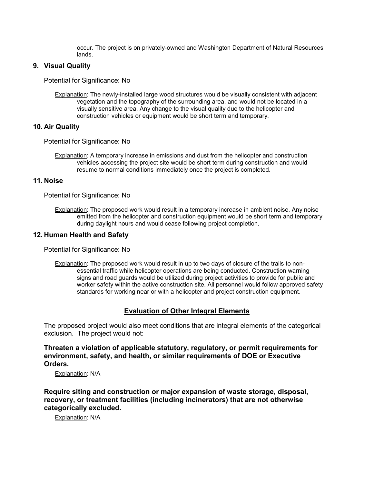occur. The project is on privately-owned and Washington Department of Natural Resources lands.

### **9. Visual Quality**

Potential for Significance: No

Explanation: The newly-installed large wood structures would be visually consistent with adjacent vegetation and the topography of the surrounding area, and would not be located in a visually sensitive area. Any change to the visual quality due to the helicopter and construction vehicles or equipment would be short term and temporary.

### **10. Air Quality**

Potential for Significance: No

Explanation: A temporary increase in emissions and dust from the helicopter and construction vehicles accessing the project site would be short term during construction and would resume to normal conditions immediately once the project is completed.

### **11. Noise**

Potential for Significance: No

Explanation: The proposed work would result in a temporary increase in ambient noise. Any noise emitted from the helicopter and construction equipment would be short term and temporary during daylight hours and would cease following project completion.

### **12. Human Health and Safety**

Potential for Significance: No

Explanation: The proposed work would result in up to two days of closure of the trails to nonessential traffic while helicopter operations are being conducted. Construction warning signs and road guards would be utilized during project activities to provide for public and worker safety within the active construction site. All personnel would follow approved safety standards for working near or with a helicopter and project construction equipment.

# **Evaluation of Other Integral Elements**

The proposed project would also meet conditions that are integral elements of the categorical exclusion. The project would not:

**Threaten a violation of applicable statutory, regulatory, or permit requirements for environment, safety, and health, or similar requirements of DOE or Executive Orders.**

Explanation: N/A

**Require siting and construction or major expansion of waste storage, disposal, recovery, or treatment facilities (including incinerators) that are not otherwise categorically excluded.**

Explanation: N/A